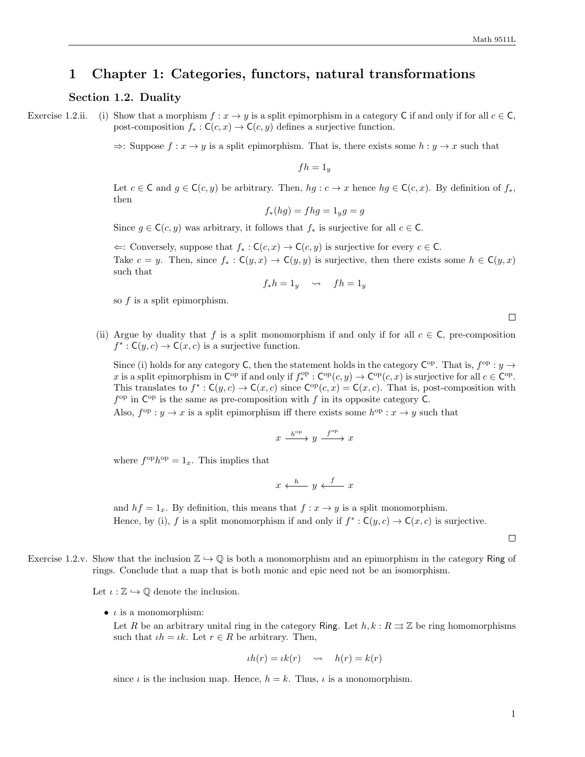# 1 Chapter 1: Categories, functors, natural transformations

## Section 1.2. Duality

Exercise 1.2.ii. (i) Show that a morphism  $f: x \to y$  is a split epimorphism in a category C if and only if for all  $c \in C$ , post-composition  $f_* : \mathsf{C}(c, x) \to \mathsf{C}(c, y)$  defines a surjective function.

 $\Rightarrow$ : Suppose  $f: x \to y$  is a split epimorphism. That is, there exists some  $h: y \to x$  such that

 $fh = 1_y$ 

Let  $c \in \mathsf{C}$  and  $g \in \mathsf{C}(c, y)$  be arbitrary. Then,  $hg : c \to x$  hence  $hg \in \mathsf{C}(c, x)$ . By definition of  $f_*,$ then

$$
f_*(hg) = fhg = 1_yg = g
$$

Since  $g \in \mathsf{C}(c, y)$  was arbitrary, it follows that  $f_*$  is surjective for all  $c \in \mathsf{C}$ .

 $\Leftarrow$ : Conversely, suppose that  $f_* : C(c, x) \to C(c, y)$  is surjective for every  $c \in \mathbb{C}$ . Take  $c = y$ . Then, since  $f_* : C(y, x) \to C(y, y)$  is surjective, then there exists some  $h \in C(y, x)$ such that

$$
f_*h = 1_y \quad \leadsto \quad fh = 1_y
$$

so  $f$  is a split epimorphism.

 $\Box$ 

<span id="page-0-0"></span>(ii) Argue by duality that f is a split monomorphism if and only if for all  $c \in \mathsf{C}$ , pre-composition  $f^* : \mathsf{C}(y,c) \to \mathsf{C}(x,c)$  is a surjective function.

Since (i) holds for any category C, then the statement holds in the category  $C^{op}$ . That is,  $f^{op}: y \to z$ x is a split epimorphism in  $\mathsf{C}^{\mathrm{op}}$  if and only if  $f^{\mathrm{op}}_*(\mathsf{C}^{\mathrm{op}}(c,y) \to \mathsf{C}^{\mathrm{op}}(c,x)$  is surjective for all  $c \in \mathsf{C}^{\mathrm{op}}$ . This translates to  $f^*: \mathsf{C}(y,c) \to \mathsf{C}(x,c)$  since  $\mathsf{C}^{\mathsf{op}}(c,x) = \mathsf{C}(x,c)$ . That is, post-composition with  $f^{\rm op}$  in  $C^{\rm op}$  is the same as pre-composition with f in its opposite category C.

Also,  $f^{\text{op}}: y \to x$  is a split epimorphism iff there exists some  $h^{\text{op}}: x \to y$  such that

$$
x \xrightarrow{h^{\text{op}}} y \xrightarrow{f^{\text{op}}} x
$$

where  $f^{\text{op}}h^{\text{op}} = 1_x$ . This implies that

$$
x \xleftarrow{h} y \xleftarrow{f} x
$$

and  $hf = 1_x$ . By definition, this means that  $f: x \to y$  is a split monomorphism. Hence, by (i), f is a split monomorphism if and only if  $f^* : C(y, c) \to C(x, c)$  is surjective.

 $\Box$ 

Exercise 1.2.v. Show that the inclusion  $\mathbb{Z} \hookrightarrow \mathbb{Q}$  is both a monomorphism and an epimorphism in the category Ring of rings. Conclude that a map that is both monic and epic need not be an isomorphism.

Let  $\iota : \mathbb{Z} \hookrightarrow \mathbb{Q}$  denote the inclusion.

•  $\iota$  is a monomorphism:

Let R be an arbitrary unital ring in the category Ring. Let  $h, k : R \rightrightarrows \mathbb{Z}$  be ring homomorphisms such that  $\iota h = \iota k$ . Let  $r \in R$  be arbitrary. Then,

$$
th(r) = tk(r) \quad \leadsto \quad h(r) = k(r)
$$

since  $\iota$  is the inclusion map. Hence,  $h = k$ . Thus,  $\iota$  is a monomorphism.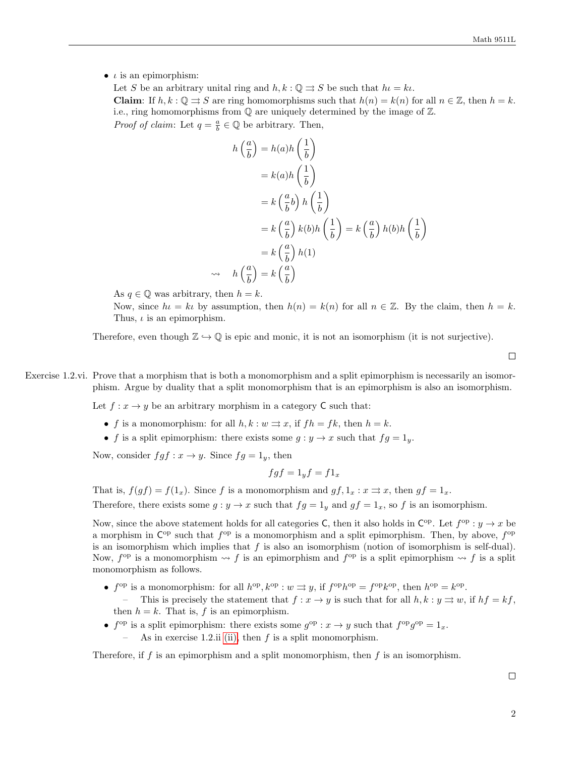$\bullet$  *ι* is an epimorphism:

Let S be an arbitrary unital ring and  $h, k : \mathbb{Q} \rightrightarrows S$  be such that  $h \cdot l = k \cdot l$ . **Claim:** If  $h, k : \mathbb{Q} \rightrightarrows S$  are ring homomorphisms such that  $h(n) = k(n)$  for all  $n \in \mathbb{Z}$ , then  $h = k$ . i.e., ring homomorphisms from Q are uniquely determined by the image of Z. *Proof of claim:* Let  $q = \frac{a}{b} \in \mathbb{Q}$  be arbitrary. Then,

$$
h\left(\frac{a}{b}\right) = h(a)h\left(\frac{1}{b}\right)
$$
  

$$
= k(a)h\left(\frac{1}{b}\right)
$$
  

$$
= k\left(\frac{a}{b}b\right)h\left(\frac{1}{b}\right)
$$
  

$$
= k\left(\frac{a}{b}\right)k(b)h\left(\frac{1}{b}\right) = k\left(\frac{a}{b}\right)h(b)h\left(\frac{1}{b}\right)
$$
  

$$
= k\left(\frac{a}{b}\right)h(1)
$$
  

$$
\Rightarrow h\left(\frac{a}{b}\right) = k\left(\frac{a}{b}\right)
$$

As  $q \in \mathbb{Q}$  was arbitrary, then  $h = k$ .

Now, since  $h = k\iota$  by assumption, then  $h(n) = k(n)$  for all  $n \in \mathbb{Z}$ . By the claim, then  $h = k$ . Thus,  $\iota$  is an epimorphism.

Therefore, even though  $\mathbb{Z} \hookrightarrow \mathbb{Q}$  is epic and monic, it is not an isomorphism (it is not surjective).

 $\Box$ 

Exercise 1.2.vi. Prove that a morphism that is both a monomorphism and a split epimorphism is necessarily an isomorphism. Argue by duality that a split monomorphism that is an epimorphism is also an isomorphism.

Let  $f: x \to y$  be an arbitrary morphism in a category C such that:

- f is a monomorphism: for all  $h, k : w \rightrightarrows x$ , if  $fh = fk$ , then  $h = k$ .
- f is a split epimorphism: there exists some  $g: y \to x$  such that  $fg = 1_y$ .

Now, consider  $fgf : x \to y$ . Since  $fg = 1_y$ , then

$$
fgf = 1_y f = f1_x
$$

That is,  $f(gf) = f(1_x)$ . Since f is a monomorphism and  $gf$ ,  $1_x : x \rightrightarrows x$ , then  $gf = 1_x$ . Therefore, there exists some  $g: y \to x$  such that  $fg = 1_y$  and  $gf = 1_x$ , so f is an isomorphism.

Now, since the above statement holds for all categories C, then it also holds in  $\mathsf{C}^{\mathrm{op}}$ . Let  $f^{\mathrm{op}}: y \to x$  be a morphism in  $\mathsf{C}^{\mathrm{op}}$  such that  $f^{\mathrm{op}}$  is a monomorphism and a split epimorphism. Then, by above,  $f^{\mathrm{op}}$ is an isomorphism which implies that  $f$  is also an isomorphism (notion of isomorphism is self-dual). Now,  $f^{\text{op}}$  is a monomorphism  $\leadsto f$  is an epimorphism and  $f^{\text{op}}$  is a split epimorphism  $\leadsto f$  is a split monomorphism as follows.

- $f^{\text{op}}$  is a monomorphism: for all  $h^{\text{op}}, k^{\text{op}} : w \rightrightarrows y$ , if  $f^{\text{op}}h^{\text{op}} = f^{\text{op}}k^{\text{op}},$  then  $h^{\text{op}} = k^{\text{op}}$ . – This is precisely the statement that  $f: x \to y$  is such that for all  $h, k : y \rightrightarrows w$ , if  $hf = kf$ , then  $h = k$ . That is, f is an epimorphism.
- $f^{\text{op}}$  is a split epimorphism: there exists some  $g^{\text{op}}: x \to y$  such that  $f^{\text{op}}g^{\text{op}} = 1_x$ .
	- As in exercise 1.2.ii [\(ii\),](#page-0-0) then  $f$  is a split monomorphism.

Therefore, if f is an epimorphism and a split monomorphism, then f is an isomorphism.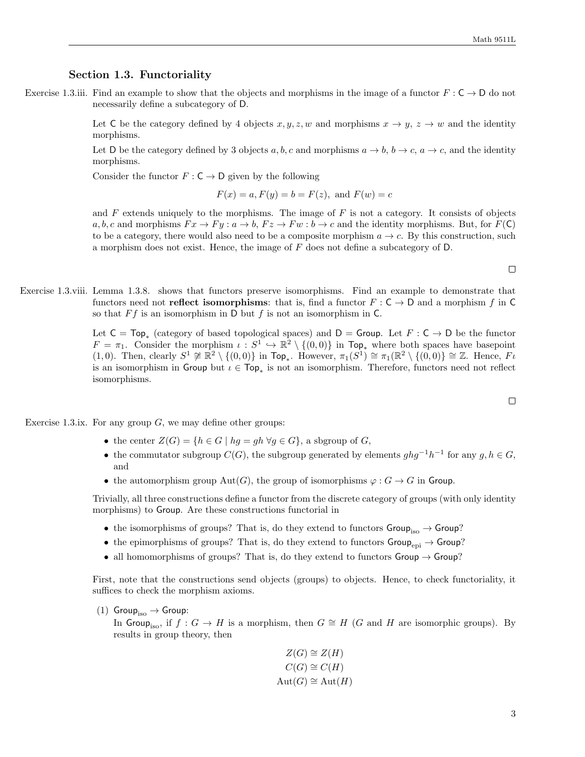### Section 1.3. Functoriality

Exercise 1.3.iii. Find an example to show that the objects and morphisms in the image of a functor  $F: \mathsf{C} \to \mathsf{D}$  do not necessarily define a subcategory of D.

> Let C be the category defined by 4 objects  $x, y, z, w$  and morphisms  $x \to y, z \to w$  and the identity morphisms.

> Let D be the category defined by 3 objects a, b, c and morphisms  $a \to b$ ,  $b \to c$ ,  $a \to c$ , and the identity morphisms.

Consider the functor  $F: \mathsf{C} \to \mathsf{D}$  given by the following

$$
F(x) = a, F(y) = b = F(z), \text{ and } F(w) = c
$$

and  $F$  extends uniquely to the morphisms. The image of  $F$  is not a category. It consists of objects  $a, b, c$  and morphisms  $Fx \rightarrow Fy : a \rightarrow b, Fz \rightarrow Fw : b \rightarrow c$  and the identity morphisms. But, for  $F(\mathsf{C})$ to be a category, there would also need to be a composite morphism  $a \to c$ . By this construction, such a morphism does not exist. Hence, the image of  $F$  does not define a subcategory of  $D$ .

 $\Box$ 

Exercise 1.3.viii. Lemma 1.3.8. shows that functors preserve isomorphisms. Find an example to demonstrate that functors need not **reflect isomorphisms**: that is, find a functor  $F : C \to D$  and a morphism f in C so that  $Ff$  is an isomorphism in D but f is not an isomorphism in C.

> Let  $C = Top_*$  (category of based topological spaces) and  $D = Group$ . Let  $F : C \rightarrow D$  be the functor  $F = \pi_1$ . Consider the morphism  $\iota : S^1 \hookrightarrow \mathbb{R}^2 \setminus \{(0,0)\}$  in Top<sub>\*</sub> where both spaces have basepoint (1,0). Then, clearly  $S^1 \not\cong \mathbb{R}^2 \setminus \{(0,0)\}$  in  $\text{Top}_*.$  However,  $\pi_1(S^1) \cong \pi_1(\mathbb{R}^2 \setminus \{(0,0)\} \cong \mathbb{Z}$ . Hence,  $F\iota$ is an isomorphism in Group but  $\iota \in \text{Top}_*$  is not an isomorphism. Therefore, functors need not reflect isomorphisms.

Exercise 1.3.ix. For any group  $G$ , we may define other groups:

- the center  $Z(G) = \{h \in G \mid hg = gh \,\forall g \in G\}$ , a sbgroup of G,
- the commutator subgroup  $C(G)$ , the subgroup generated by elements  $ghg^{-1}h^{-1}$  for any  $g, h \in G$ , and
- the automorphism group  $Aut(G)$ , the group of isomorphisms  $\varphi : G \to G$  in Group.

Trivially, all three constructions define a functor from the discrete category of groups (with only identity morphisms) to Group. Are these constructions functorial in

- the isomorphisms of groups? That is, do they extend to functors  $Group_{\rm iso}} \rightarrow Group$ ?
- the epimorphisms of groups? That is, do they extend to functors  $Group_{\text{epi}} \rightarrow Group$ ?
- all homomorphisms of groups? That is, do they extend to functors  $Group \rightarrow Group?$

First, note that the constructions send objects (groups) to objects. Hence, to check functoriality, it suffices to check the morphism axioms.

(1)  $Group_{iso} \rightarrow Group:$ 

In Group<sub>iso</sub>, if  $f: G \to H$  is a morphism, then  $G \cong H$  (G and H are isomorphic groups). By results in group theory, then

$$
Z(G) \cong Z(H)
$$
  
\n
$$
C(G) \cong C(H)
$$
  
\n
$$
Aut(G) \cong Aut(H)
$$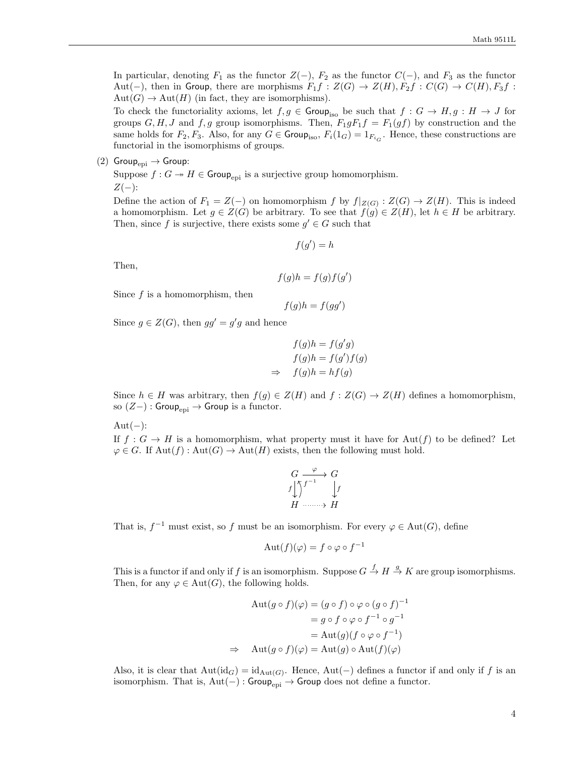In particular, denoting  $F_1$  as the functor  $Z(-)$ ,  $F_2$  as the functor  $C(-)$ , and  $F_3$  as the functor Aut(−), then in Group, there are morphisms  $F_1f : Z(G) \to Z(H), F_2f : C(G) \to C(H), F_3f$ :  $Aut(G) \to Aut(H)$  (in fact, they are isomorphisms).

To check the functoriality axioms, let  $f, g \in \mathsf{Group}_{\text{iso}}$  be such that  $f: G \to H, g: H \to J$  for groups  $G, H, J$  and  $f, g$  group isomorphisms. Then,  $F_1gF_1f = F_1(gf)$  by construction and the same holds for  $F_2, F_3$ . Also, for any  $G \in \text{Group}_{\text{iso}}$ ,  $F_i(1_G) = 1_{F_{i_G}}$ . Hence, these constructions are functorial in the isomorphisms of groups.

(2) Group<sub>epi</sub>  $\rightarrow$  Group:

Suppose  $f: G \to H \in \mathsf{Group}_{\mathrm{epi}}$  is a surjective group homomorphism.  $Z(-)$ :

Define the action of  $F_1 = Z(-)$  on homomorphism f by  $f|_{Z(G)} : Z(G) \to Z(H)$ . This is indeed a homomorphism. Let  $g \in Z(G)$  be arbitrary. To see that  $f(g) \in Z(H)$ , let  $h \in H$  be arbitrary. Then, since f is surjective, there exists some  $g' \in G$  such that

$$
f(g') = h
$$

Then,

$$
f(g)h = f(g)f(g')
$$

Since  $f$  is a homomorphism, then

$$
f(g)h = f(gg')
$$

Since  $g \in Z(G)$ , then  $gg' = g'g$  and hence

$$
f(g)h = f(g'g)
$$
  

$$
f(g)h = f(g')f(g)
$$
  

$$
\Rightarrow \quad f(g)h = hf(g)
$$

Since  $h \in H$  was arbitrary, then  $f(g) \in Z(H)$  and  $f : Z(G) \to Z(H)$  defines a homomorphism, so  $(Z-)$ : Group<sub>epi</sub> → Group is a functor.

 $Aut(-):$ 

If  $f: G \to H$  is a homomorphism, what property must it have for Aut(f) to be defined? Let  $\varphi \in G$ . If  $\text{Aut}(f) : \text{Aut}(G) \to \text{Aut}(H)$  exists, then the following must hold.

$$
\begin{array}{ccc}\nG & \xrightarrow{\varphi} & G \\
f & f^{-1} & f \\
H & \xrightarrow{\qquad} & H\n\end{array}
$$

That is,  $f^{-1}$  must exist, so f must be an isomorphism. For every  $\varphi \in \text{Aut}(G)$ , define

$$
Aut(f)(\varphi) = f \circ \varphi \circ f^{-1}
$$

This is a functor if and only if f is an isomorphism. Suppose  $G \stackrel{f}{\to} H \stackrel{g}{\to} K$  are group isomorphisms. Then, for any  $\varphi \in \text{Aut}(G)$ , the following holds.

$$
\begin{aligned} \text{Aut}(g \circ f)(\varphi) &= (g \circ f) \circ \varphi \circ (g \circ f)^{-1} \\ &= g \circ f \circ \varphi \circ f^{-1} \circ g^{-1} \\ &= \text{Aut}(g)(f \circ \varphi \circ f^{-1}) \\ \Rightarrow \quad \text{Aut}(g \circ f)(\varphi) &= \text{Aut}(g) \circ \text{Aut}(f)(\varphi) \end{aligned}
$$

Also, it is clear that  $Aut(id_G) = id_{Aut(G)}$ . Hence,  $Aut(-)$  defines a functor if and only if f is an isomorphism. That is,  $Aut(-)$ : Group<sub>epi</sub> → Group does not define a functor.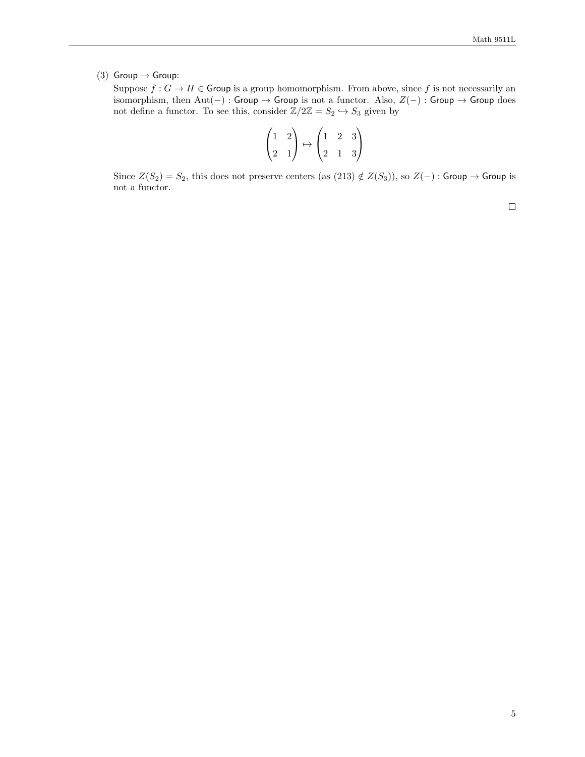(3) Group  $\rightarrow$  Group:

Suppose  $f: G \to H \in \mathsf{Group}$  is a group homomorphism. From above, since f is not necessarily an isomorphism, then  $Aut(-)$ : Group → Group is not a functor. Also,  $Z(-)$ : Group → Group does not define a functor. To see this, consider  $\mathbb{Z}/2\mathbb{Z} = S_2 \hookrightarrow S_3$  given by

$$
\begin{pmatrix} 1 & 2 \\ 2 & 1 \end{pmatrix} \mapsto \begin{pmatrix} 1 & 2 & 3 \\ 2 & 1 & 3 \end{pmatrix}
$$

Since  $Z(S_2) = S_2$ , this does not preserve centers (as  $(213) \notin Z(S_3)$ ), so  $Z(-)$ : Group → Group is not a functor.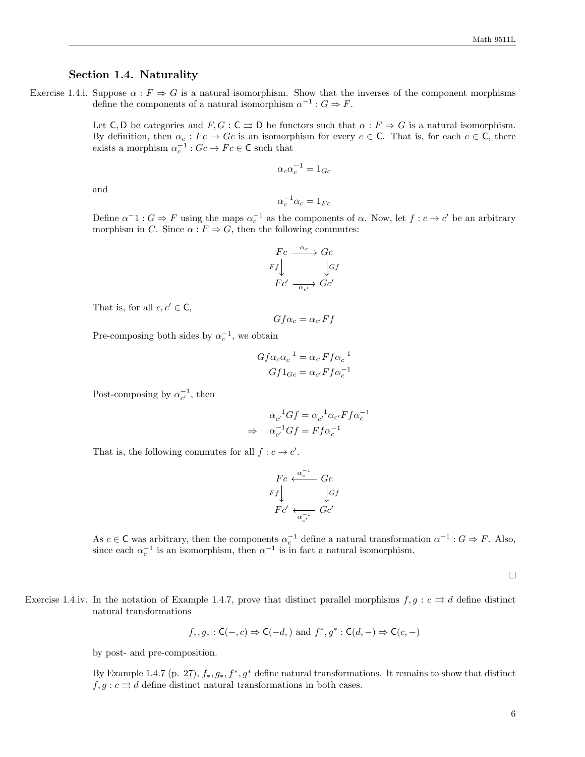## Section 1.4. Naturality

Exercise 1.4.i. Suppose  $\alpha : F \Rightarrow G$  is a natural isomorphism. Show that the inverses of the component morphisms define the components of a natural isomorphism  $\alpha^{-1}$  :  $G \Rightarrow F$ .

> Let C, D be categories and  $F, G : \mathsf{C} \rightrightarrows \mathsf{D}$  be functors such that  $\alpha : F \Rightarrow G$  is a natural isomorphism. By definition, then  $\alpha_c : Fc \to Gc$  is an isomorphism for every  $c \in \mathsf{C}$ . That is, for each  $c \in \mathsf{C}$ , there exists a morphism  $\alpha_c^{-1}$ :  $Gc \to Fc \in \mathsf{C}$  such that

$$
\alpha_c \alpha_c^{-1} = 1_{Gc}
$$

and

$$
\alpha_c^{-1}\alpha_c=1_{Fc}
$$

Define  $\alpha^{-1}: G \Rightarrow F$  using the maps  $\alpha_c^{-1}$  as the components of  $\alpha$ . Now, let  $f: c \to c'$  be an arbitrary morphism in C. Since  $\alpha : F \Rightarrow G$ , then the following commutes:

$$
\begin{array}{ccc}\nFc & \xrightarrow{\alpha_c} & Gc \\
Ff & & \downarrow Gf \\
Fc' & \xrightarrow{\alpha_{c'}} & Gc'\n\end{array}
$$

That is, for all  $c, c' \in \mathsf{C}$ ,

 $Gf\alpha_c = \alpha_{c'}Ff$ 

Pre-composing both sides by  $\alpha_c^{-1}$ , we obtain

$$
Gf\alpha_c\alpha_c^{-1} = \alpha_{c'}Ff\alpha_c^{-1}
$$

$$
Gf1_{Gc} = \alpha_{c'}Ff\alpha_c^{-1}
$$

Post-composing by  $\alpha_{c'}^{-1}$ , then

$$
\alpha_{c'}^{-1} G f = \alpha_{c'}^{-1} \alpha_{c'} F f \alpha_c^{-1}
$$
  
\n
$$
\Rightarrow \alpha_{c'}^{-1} G f = F f \alpha_c^{-1}
$$

That is, the following commutes for all  $f : c \to c'$ .

$$
\begin{array}{ccc}\nFc & \xleftarrow{\alpha_c^{-1}} & Gc \\
Ff & & \downarrow cf \\
Fc' & \xleftarrow{\alpha_{c'}^{-1}} & Gc'\n\end{array}
$$

As  $c \in \mathsf{C}$  was arbitrary, then the components  $\alpha_c^{-1}$  define a natural transformation  $\alpha^{-1} : G \Rightarrow F$ . Also, since each  $\alpha_c^{-1}$  is an isomorphism, then  $\alpha^{-1}$  is in fact a natural isomorphism.

 $\Box$ 

Exercise 1.4.iv. In the notation of Example 1.4.7, prove that distinct parallel morphisms  $f, g : c \implies d$  define distinct natural transformations

$$
f_*, g_* : C(-, c) \Rightarrow C(-d, )
$$
 and  $f^*, g^* : C(d, -) \Rightarrow C(c, -)$ 

by post- and pre-composition.

By Example 1.4.7 (p. 27),  $f_*, g_*, f^*, g^*$  define natural transformations. It remains to show that distinct  $f, g: c \rightrightarrows d$  define distinct natural transformations in both cases.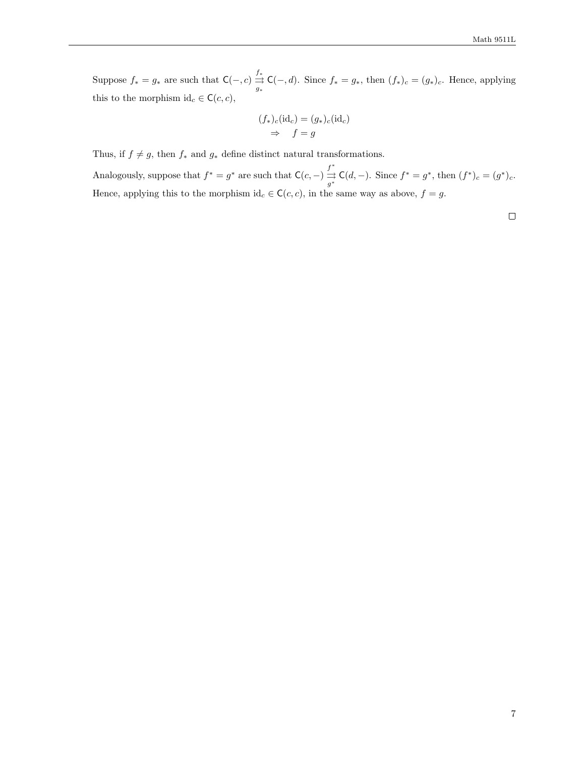Suppose  $f_* = g_*$  are such that  $C(-, c) \stackrel{f_*}{\rightrightarrows}$  $\frac{\partial}{\partial s} \mathsf{C}(-,d)$ . Since  $f_* = g_*,$  then  $(f_*)_c = (g_*)_c$ . Hence, applying this to the morphism  $id_c \in \mathsf{C}(c, c)$ ,

$$
(f_*)_c(\mathrm{id}_c) = (g_*)_c(\mathrm{id}_c)
$$
  
\n
$$
\Rightarrow f = g
$$

Thus, if  $f \neq g$ , then  $f_*$  and  $g_*$  define distinct natural transformations.

Analogously, suppose that  $f^* = g^*$  are such that  $\mathsf{C}(c, -) \stackrel{f^*}{\rightrightarrows}$  $\frac{f^*}{g^*} C(d, -)$ . Since  $f^* = g^*$ , then  $(f^*)_c = (g^*)_c$ . Hence, applying this to the morphism id<sub>c</sub> ∈ C(c, c), in the same way as above,  $f = g$ .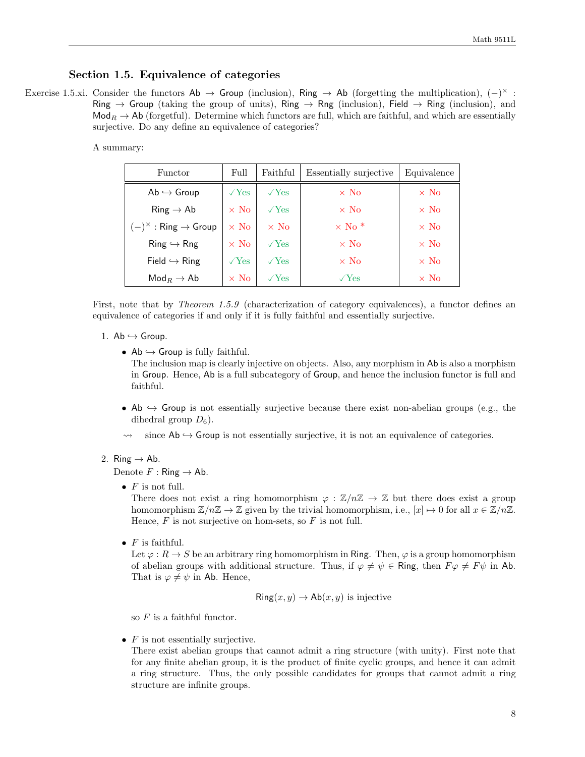## Section 1.5. Equivalence of categories

Exercise 1.5.xi. Consider the functors  $\mathsf{Ab} \to \mathsf{Group}$  (inclusion),  $\mathsf{Ring} \to \mathsf{Ab}$  (forgetting the multiplication),  $(-)^{\times}$ : Ring  $\rightarrow$  Group (taking the group of units), Ring  $\rightarrow$  Rng (inclusion), Field  $\rightarrow$  Ring (inclusion), and  $\text{Mod}_R \to \text{Ab}$  (forgetful). Determine which functors are full, which are faithful, and which are essentially surjective. Do any define an equivalence of categories?

A summary:

| Functor                                   | Full         | Faithful     | Essentially surjective   | Equivalence |
|-------------------------------------------|--------------|--------------|--------------------------|-------------|
| $Ab \hookrightarrow$ Group                | $\sqrt{Yes}$ | $\sqrt{Yes}$ | $\times$ No              | $\times$ No |
| $Ring \rightarrow Ab$                     | $\times$ No  | $\sqrt{Yes}$ | $\times$ No              | $\times$ No |
| $(-)^{\times}$ : Ring $\rightarrow$ Group | $\times$ No  | $\times$ No  | $\times$ No <sup>*</sup> | $\times$ No |
| $Ring \hookrightarrow Rng$                | $\times$ No  | $\sqrt{Yes}$ | $\times$ No              | $\times$ No |
| Field $\hookrightarrow$ Ring              | $\sqrt{Yes}$ | $\sqrt{Yes}$ | $\times$ No              | $\times$ No |
| $\mathsf{Mod}_R \to \mathsf{Ab}$          | $\times$ No  | $\sqrt{Yes}$ | $\sqrt{Yes}$             | $\times$ No |

First, note that by *Theorem 1.5.9* (characterization of category equivalences), a functor defines an equivalence of categories if and only if it is fully faithful and essentially surjective.

- 1.  $Ab \hookrightarrow$  Group.
	- Ab  $\hookrightarrow$  Group is fully faithful. The inclusion map is clearly injective on objects. Also, any morphism in Ab is also a morphism in Group. Hence, Ab is a full subcategory of Group, and hence the inclusion functor is full and faithful.
	- Ab  $\rightarrow$  Group is not essentially surjective because there exist non-abelian groups (e.g., the dihedral group  $D_6$ ).
	- $\rightarrow$  since Ab  $\rightarrow$  Group is not essentially surjective, it is not an equivalence of categories.

## 2. Ring  $\rightarrow$  Ab.

Denote  $F :$  Ring  $\rightarrow$  Ab.

•  $F$  is not full.

There does not exist a ring homomorphism  $\varphi : \mathbb{Z}/n\mathbb{Z} \to \mathbb{Z}$  but there does exist a group homomorphism  $\mathbb{Z}/n\mathbb{Z} \to \mathbb{Z}$  given by the trivial homomorphism, i.e.,  $[x] \mapsto 0$  for all  $x \in \mathbb{Z}/n\mathbb{Z}$ . Hence,  $F$  is not surjective on hom-sets, so  $F$  is not full.

•  $F$  is faithful.

Let  $\varphi : R \to S$  be an arbitrary ring homomorphism in Ring. Then,  $\varphi$  is a group homomorphism of abelian groups with additional structure. Thus, if  $\varphi \neq \psi \in \mathsf{Ring}$ , then  $F\varphi \neq F\psi$  in Ab. That is  $\varphi \neq \psi$  in Ab. Hence,

$$
Ring(x, y) \to Ab(x, y)
$$
 is injective

so  $F$  is a faithful functor.

•  $F$  is not essentially surjective.

There exist abelian groups that cannot admit a ring structure (with unity). First note that for any finite abelian group, it is the product of finite cyclic groups, and hence it can admit a ring structure. Thus, the only possible candidates for groups that cannot admit a ring structure are infinite groups.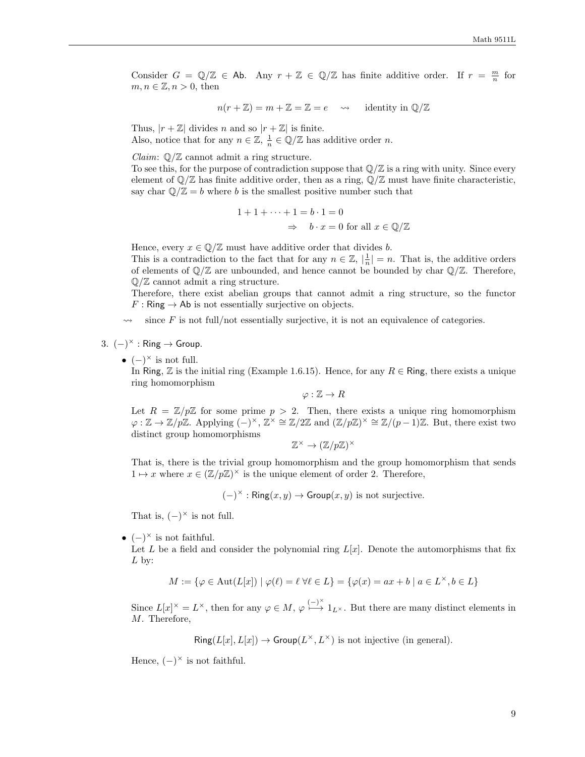Consider  $G = \mathbb{Q}/\mathbb{Z} \in$  Ab. Any  $r + \mathbb{Z} \in \mathbb{Q}/\mathbb{Z}$  has finite additive order. If  $r = \frac{m}{n}$  for  $m, n \in \mathbb{Z}, n > 0$ , then

$$
n(r + \mathbb{Z}) = m + \mathbb{Z} = \mathbb{Z} = e \longrightarrow
$$
 identity in  $\mathbb{Q}/\mathbb{Z}$ 

Thus,  $|r + \mathbb{Z}|$  divides n and so  $|r + \mathbb{Z}|$  is finite. Also, notice that for any  $n \in \mathbb{Z}$ ,  $\frac{1}{n} \in \mathbb{Q}/\mathbb{Z}$  has additive order n.

*Claim:*  $\mathbb{Q}/\mathbb{Z}$  cannot admit a ring structure.

To see this, for the purpose of contradiction suppose that  $\mathbb{Q}/\mathbb{Z}$  is a ring with unity. Since every element of  $\mathbb{Q}/\mathbb{Z}$  has finite additive order, then as a ring,  $\mathbb{Q}/\mathbb{Z}$  must have finite characteristic, say char  $\mathbb{O}/\mathbb{Z} = b$  where b is the smallest positive number such that

$$
1 + 1 + \dots + 1 = b \cdot 1 = 0
$$
  

$$
\Rightarrow \quad b \cdot x = 0 \text{ for all } x \in \mathbb{Q}/\mathbb{Z}
$$

Hence, every  $x \in \mathbb{Q}/\mathbb{Z}$  must have additive order that divides b.

This is a contradiction to the fact that for any  $n \in \mathbb{Z}$ ,  $|\frac{1}{n}| = n$ . That is, the additive orders of elements of  $\mathbb{Q}/\mathbb{Z}$  are unbounded, and hence cannot be bounded by char  $\mathbb{Q}/\mathbb{Z}$ . Therefore,  $\mathbb{Q}/\mathbb{Z}$  cannot admit a ring structure.

Therefore, there exist abelian groups that cannot admit a ring structure, so the functor  $F : \mathsf{Ring} \to \mathsf{Ab}$  is not essentially surjective on objects.

since  $F$  is not full/not essentially surjective, it is not an equivalence of categories.

3.  $(-)^{\times}$ : Ring  $\rightarrow$  Group.

•  $(-)^\times$  is not full.

In Ring, Z is the initial ring (Example 1.6.15). Hence, for any  $R \in \mathsf{Ring}$ , there exists a unique ring homomorphism

 $\varphi : \mathbb{Z} \to R$ 

Let  $R = \mathbb{Z}/p\mathbb{Z}$  for some prime  $p > 2$ . Then, there exists a unique ring homomorphism  $\varphi : \mathbb{Z} \to \mathbb{Z}/p\mathbb{Z}$ . Applying  $(-)^{\times}$ ,  $\mathbb{Z}^{\times} \cong \mathbb{Z}/2\mathbb{Z}$  and  $(\mathbb{Z}/p\mathbb{Z})^{\times} \cong \mathbb{Z}/(p-1)\mathbb{Z}$ . But, there exist two distinct group homomorphisms

$$
\mathbb{Z}^\times \to (\mathbb{Z}/p\mathbb{Z})^\times
$$

That is, there is the trivial group homomorphism and the group homomorphism that sends  $1 \mapsto x$  where  $x \in (\mathbb{Z}/p\mathbb{Z})^{\times}$  is the unique element of order 2. Therefore,

 $(-)^{\times}$ : Ring $(x, y) \rightarrow$  Group $(x, y)$  is not surjective.

That is,  $(-)^{\times}$  is not full.

•  $(-)^{\times}$  is not faithful.

Let L be a field and consider the polynomial ring  $L[x]$ . Denote the automorphisms that fix  $L$  by:

$$
M:=\{\varphi\in \mathrm{Aut}(L[x])\mid \varphi(\ell)=\ell \ \forall \ell\in L\}=\{\varphi(x)=ax+b\mid a\in L^{\times}, b\in L\}
$$

Since  $L[x]^{\times} = L^{\times}$ , then for any  $\varphi \in M$ ,  $\varphi \stackrel{(-)^{\times}}{\longmapsto} 1_{L^{\times}}$ . But there are many distinct elements in M. Therefore,

 $\text{Ring}(L[x], L[x]) \to \text{Group}(L^{\times}, L^{\times})$  is not injective (in general).

Hence,  $(-)^{\times}$  is not faithful.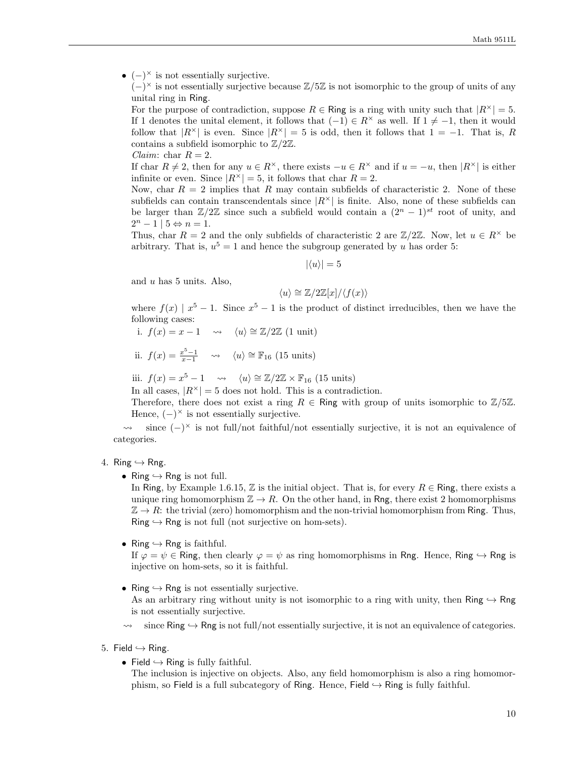•  $(-)^{\times}$  is not essentially surjective.

 $(-)^{\times}$  is not essentially surjective because  $\mathbb{Z}/5\mathbb{Z}$  is not isomorphic to the group of units of any unital ring in Ring.

For the purpose of contradiction, suppose  $R \in \mathsf{Ring}$  is a ring with unity such that  $|R^{\times}| = 5$ . If 1 denotes the unital element, it follows that  $(-1) \in R^{\times}$  as well. If  $1 \neq -1$ , then it would follow that  $|R^{\times}|$  is even. Since  $|R^{\times}| = 5$  is odd, then it follows that  $1 = -1$ . That is, R contains a subfield isomorphic to  $\mathbb{Z}/2\mathbb{Z}$ .

If char  $R \neq 2$ , then for any  $u \in R^{\times}$ , there exists  $-u \in R^{\times}$  and if  $u = -u$ , then  $|R^{\times}|$  is either infinite or even. Since  $|R^{\times}| = 5$ , it follows that char  $R = 2$ .

Now, char  $R = 2$  implies that R may contain subfields of characteristic 2. None of these subfields can contain transcendentals since  $|R^{\times}|$  is finite. Also, none of these subfields can be larger than  $\mathbb{Z}/2\mathbb{Z}$  since such a subfield would contain a  $(2^{n} - 1)^{st}$  root of unity, and  $2^n - 1 \mid 5 \Leftrightarrow n = 1.$ 

Thus, char R = 2 and the only subfields of characteristic 2 are  $\mathbb{Z}/2\mathbb{Z}$ . Now, let  $u \in R^{\times}$  be arbitrary. That is,  $u^5 = 1$  and hence the subgroup generated by u has order 5:

 $|\langle u \rangle| = 5$ 

and  $u$  has 5 units. Also,

*Claim:* char  $R = 2$ .

$$
\langle u \rangle \cong \mathbb{Z}/2\mathbb{Z}[x]/\langle f(x) \rangle
$$

where  $f(x) | x^5 - 1$ . Since  $x^5 - 1$  is the product of distinct irreducibles, then we have the following cases:

i. 
$$
f(x) = x - 1 \quad \leadsto \quad \langle u \rangle \cong \mathbb{Z}/2\mathbb{Z}
$$
 (1 unit)

ii. 
$$
f(x) = \frac{x^5 - 1}{x - 1}
$$
  $\leadsto$   $\langle u \rangle \cong \mathbb{F}_{16} \text{ (15 units)}$ 

iii.  $f(x) = x^5 - 1 \longrightarrow \langle u \rangle \cong \mathbb{Z}/2\mathbb{Z} \times \mathbb{F}_{16}$  (15 units)

In all cases,  $|R^{\times}| = 5$  does not hold. This is a contradiction.

Therefore, there does not exist a ring  $R \in \mathsf{Ring}$  with group of units isomorphic to  $\mathbb{Z}/5\mathbb{Z}$ . Hence,  $(-)^{\times}$  is not essentially surjective.

 $\rightarrow$  since  $(-)^{\times}$  is not full/not faithful/not essentially surjective, it is not an equivalence of categories.

#### 4. Ring  $\hookrightarrow$  Rng.

• Ring  $\hookrightarrow$  Rng is not full.

In Ring, by Example 1.6.15, Z is the initial object. That is, for every  $R \in \text{Ring}$ , there exists a unique ring homomorphism  $\mathbb{Z} \to R$ . On the other hand, in Rng, there exist 2 homomorphisms  $\mathbb{Z} \to R$ : the trivial (zero) homomorphism and the non-trivial homomorphism from Ring. Thus,  $Ring \hookrightarrow$  Rng is not full (not surjective on hom-sets).

• Ring  $\hookrightarrow$  Rng is faithful.

If  $\varphi = \psi \in \text{Ring}$ , then clearly  $\varphi = \psi$  as ring homomorphisms in Rng. Hence, Ring  $\hookrightarrow$  Rng is injective on hom-sets, so it is faithful.

- Ring  $\hookrightarrow$  Rng is not essentially surjective. As an arbitrary ring without unity is not isomorphic to a ring with unity, then Ring  $\hookrightarrow$  Rng is not essentially surjective.
- since Ring  $\hookrightarrow$  Rng is not full/not essentially surjective, it is not an equivalence of categories.
- 5. Field  $\hookrightarrow$  Ring.
	- Field  $\hookrightarrow$  Ring is fully faithful.
		- The inclusion is injective on objects. Also, any field homomorphism is also a ring homomorphism, so Field is a full subcategory of Ring. Hence, Field  $\rightarrow$  Ring is fully faithful.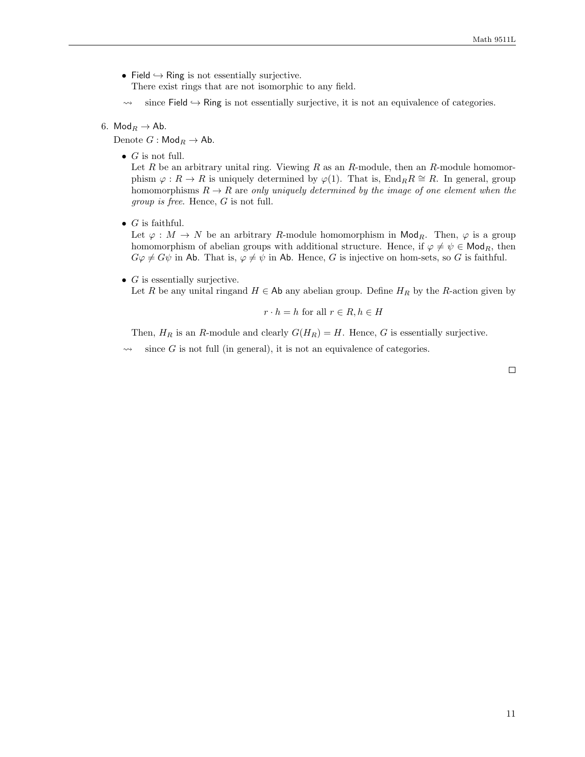• Field  $\hookrightarrow$  Ring is not essentially surjective.

There exist rings that are not isomorphic to any field.

 $\rightarrow$  since Field  $\rightarrow$  Ring is not essentially surjective, it is not an equivalence of categories.

## 6. Mod $_R \rightarrow$  Ab.

Denote  $G : \mathsf{Mod}_R \to \mathsf{Ab}.$ 

•  $G$  is not full.

Let  $R$  be an arbitrary unital ring. Viewing  $R$  as an  $R$ -module, then an  $R$ -module homomorphism  $\varphi : R \to R$  is uniquely determined by  $\varphi(1)$ . That is, End<sub>R</sub> $R \cong R$ . In general, group homomorphisms  $R \to R$  are only uniquely determined by the image of one element when the group is free. Hence, G is not full.

•  $G$  is faithful.

Let  $\varphi : M \to N$  be an arbitrary R-module homomorphism in Mod<sub>R</sub>. Then,  $\varphi$  is a group homomorphism of abelian groups with additional structure. Hence, if  $\varphi \neq \psi \in \mathsf{Mod}_R$ , then  $G\varphi \neq G\psi$  in Ab. That is,  $\varphi \neq \psi$  in Ab. Hence, G is injective on hom-sets, so G is faithful.

•  $G$  is essentially surjective.

Let R be any unital ringand  $H \in \mathsf{Ab}$  any abelian group. Define  $H_R$  by the R-action given by

$$
r \cdot h = h \text{ for all } r \in R, h \in H
$$

Then,  $H_R$  is an R-module and clearly  $G(H_R) = H$ . Hence, G is essentially surjective.

since  $G$  is not full (in general), it is not an equivalence of categories.